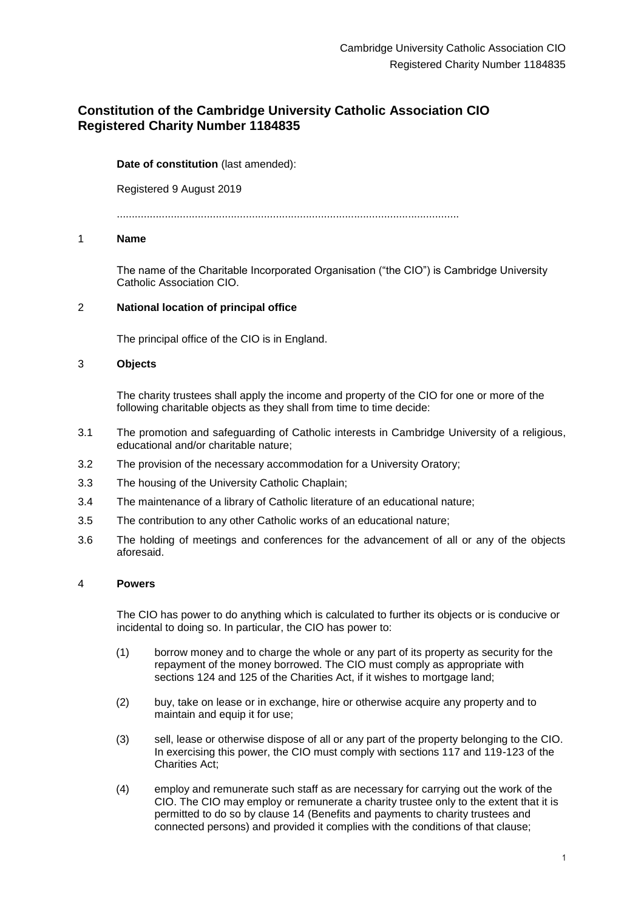# **Constitution of the Cambridge University Catholic Association CIO Registered Charity Number 1184835**

**Date of constitution** (last amended):

Registered 9 August 2019

..................................................................................................................

### 1 **Name**

The name of the Charitable Incorporated Organisation ("the CIO") is Cambridge University Catholic Association CIO.

### 2 **National location of principal office**

The principal office of the CIO is in England.

### 3 **Objects**

The charity trustees shall apply the income and property of the CIO for one or more of the following charitable objects as they shall from time to time decide:

- 3.1 The promotion and safeguarding of Catholic interests in Cambridge University of a religious, educational and/or charitable nature;
- 3.2 The provision of the necessary accommodation for a University Oratory;
- 3.3 The housing of the University Catholic Chaplain;
- 3.4 The maintenance of a library of Catholic literature of an educational nature;
- 3.5 The contribution to any other Catholic works of an educational nature;
- 3.6 The holding of meetings and conferences for the advancement of all or any of the objects aforesaid.

### 4 **Powers**

The CIO has power to do anything which is calculated to further its objects or is conducive or incidental to doing so. In particular, the CIO has power to:

- (1) borrow money and to charge the whole or any part of its property as security for the repayment of the money borrowed. The CIO must comply as appropriate with sections 124 and 125 of the Charities Act, if it wishes to mortgage land:
- (2) buy, take on lease or in exchange, hire or otherwise acquire any property and to maintain and equip it for use;
- (3) sell, lease or otherwise dispose of all or any part of the property belonging to the CIO. In exercising this power, the CIO must comply with sections 117 and 119-123 of the Charities Act;
- (4) employ and remunerate such staff as are necessary for carrying out the work of the CIO. The CIO may employ or remunerate a charity trustee only to the extent that it is permitted to do so by clause 14 (Benefits and payments to charity trustees and connected persons) and provided it complies with the conditions of that clause;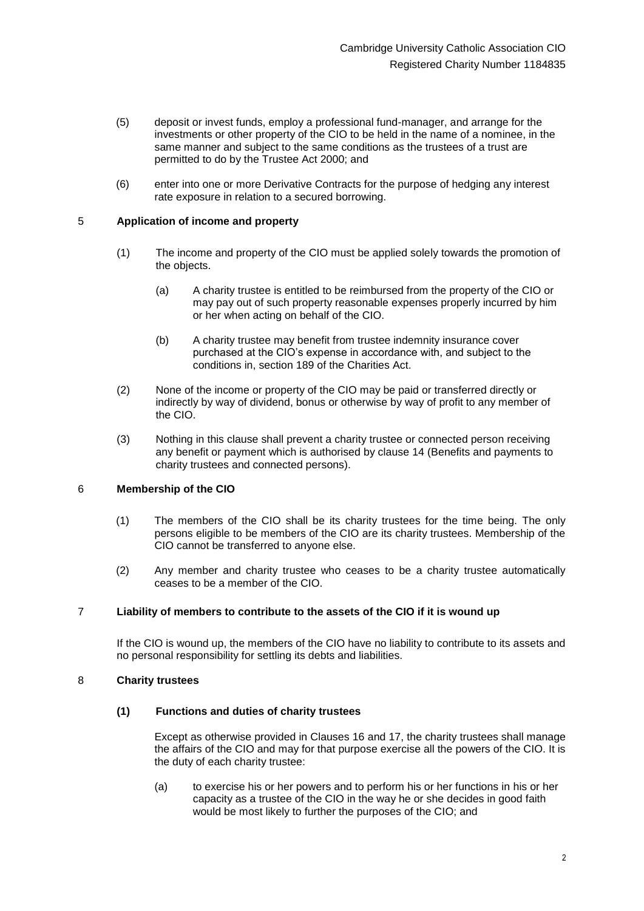- (5) deposit or invest funds, employ a professional fund-manager, and arrange for the investments or other property of the CIO to be held in the name of a nominee, in the same manner and subject to the same conditions as the trustees of a trust are permitted to do by the Trustee Act 2000; and
- (6) enter into one or more Derivative Contracts for the purpose of hedging any interest rate exposure in relation to a secured borrowing.

### 5 **Application of income and property**

- (1) The income and property of the CIO must be applied solely towards the promotion of the objects.
	- (a) A charity trustee is entitled to be reimbursed from the property of the CIO or may pay out of such property reasonable expenses properly incurred by him or her when acting on behalf of the CIO.
	- (b) A charity trustee may benefit from trustee indemnity insurance cover purchased at the CIO's expense in accordance with, and subject to the conditions in, section 189 of the Charities Act.
- (2) None of the income or property of the CIO may be paid or transferred directly or indirectly by way of dividend, bonus or otherwise by way of profit to any member of the CIO.
- (3) Nothing in this clause shall prevent a charity trustee or connected person receiving any benefit or payment which is authorised by clause 14 (Benefits and payments to charity trustees and connected persons).

## 6 **Membership of the CIO**

- (1) The members of the CIO shall be its charity trustees for the time being. The only persons eligible to be members of the CIO are its charity trustees. Membership of the CIO cannot be transferred to anyone else.
- (2) Any member and charity trustee who ceases to be a charity trustee automatically ceases to be a member of the CIO.

## 7 **Liability of members to contribute to the assets of the CIO if it is wound up**

If the CIO is wound up, the members of the CIO have no liability to contribute to its assets and no personal responsibility for settling its debts and liabilities.

### 8 **Charity trustees**

### **(1) Functions and duties of charity trustees**

Except as otherwise provided in Clauses 16 and 17, the charity trustees shall manage the affairs of the CIO and may for that purpose exercise all the powers of the CIO. It is the duty of each charity trustee:

(a) to exercise his or her powers and to perform his or her functions in his or her capacity as a trustee of the CIO in the way he or she decides in good faith would be most likely to further the purposes of the CIO; and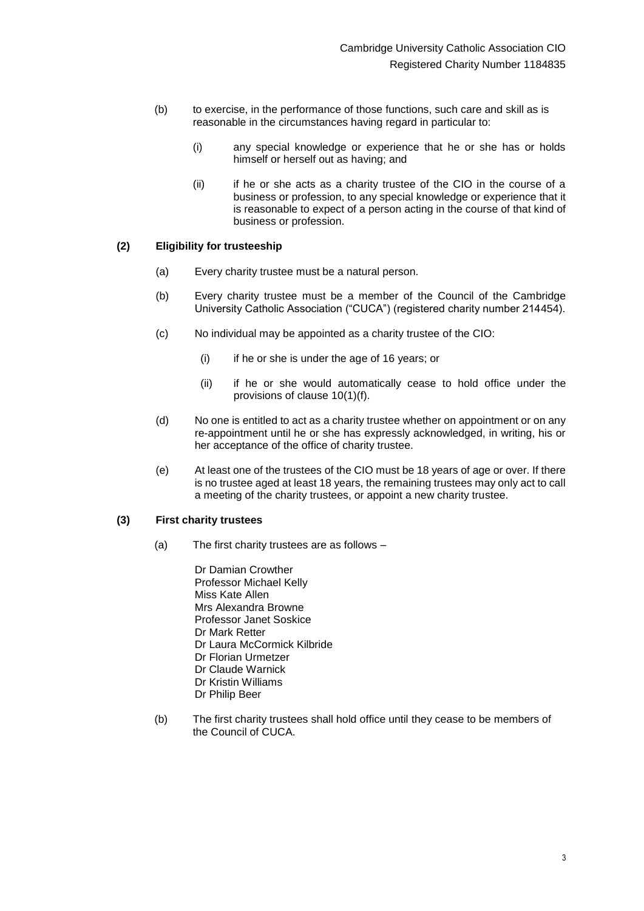- (b) to exercise, in the performance of those functions, such care and skill as is reasonable in the circumstances having regard in particular to:
	- (i) any special knowledge or experience that he or she has or holds himself or herself out as having; and
	- (ii) if he or she acts as a charity trustee of the CIO in the course of a business or profession, to any special knowledge or experience that it is reasonable to expect of a person acting in the course of that kind of business or profession.

## **(2) Eligibility for trusteeship**

- (a) Every charity trustee must be a natural person.
- (b) Every charity trustee must be a member of the Council of the Cambridge University Catholic Association ("CUCA") (registered charity number 214454).
- (c) No individual may be appointed as a charity trustee of the CIO:
	- (i) if he or she is under the age of 16 years; or
	- (ii) if he or she would automatically cease to hold office under the provisions of clause 10(1)(f).
- (d) No one is entitled to act as a charity trustee whether on appointment or on any re-appointment until he or she has expressly acknowledged, in writing, his or her acceptance of the office of charity trustee.
- (e) At least one of the trustees of the CIO must be 18 years of age or over. If there is no trustee aged at least 18 years, the remaining trustees may only act to call a meeting of the charity trustees, or appoint a new charity trustee.

## **(3) First charity trustees**

(a) The first charity trustees are as follows –

Dr Damian Crowther Professor Michael Kelly Miss Kate Allen Mrs Alexandra Browne Professor Janet Soskice Dr Mark Retter Dr Laura McCormick Kilbride Dr Florian Urmetzer Dr Claude Warnick Dr Kristin Williams Dr Philip Beer

(b) The first charity trustees shall hold office until they cease to be members of the Council of CUCA.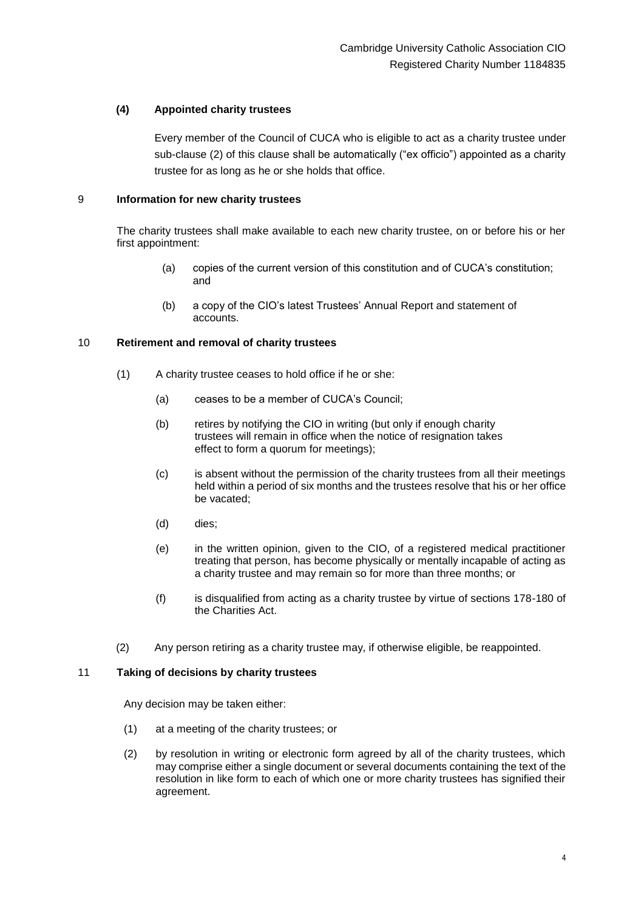## **(4) Appointed charity trustees**

Every member of the Council of CUCA who is eligible to act as a charity trustee under sub-clause (2) of this clause shall be automatically ("ex officio") appointed as a charity trustee for as long as he or she holds that office.

### 9 **Information for new charity trustees**

The charity trustees shall make available to each new charity trustee, on or before his or her first appointment:

- (a) copies of the current version of this constitution and of CUCA's constitution; and
- (b) a copy of the CIO's latest Trustees' Annual Report and statement of accounts.

### 10 **Retirement and removal of charity trustees**

- (1) A charity trustee ceases to hold office if he or she:
	- (a) ceases to be a member of CUCA's Council;
	- (b) retires by notifying the CIO in writing (but only if enough charity trustees will remain in office when the notice of resignation takes effect to form a quorum for meetings);
	- (c) is absent without the permission of the charity trustees from all their meetings held within a period of six months and the trustees resolve that his or her office be vacated;
	- (d) dies;
	- (e) in the written opinion, given to the CIO, of a registered medical practitioner treating that person, has become physically or mentally incapable of acting as a charity trustee and may remain so for more than three months; or
	- (f) is disqualified from acting as a charity trustee by virtue of sections 178-180 of the Charities Act.
- (2) Any person retiring as a charity trustee may, if otherwise eligible, be reappointed.

## 11 **Taking of decisions by charity trustees**

Any decision may be taken either:

- (1) at a meeting of the charity trustees; or
- (2) by resolution in writing or electronic form agreed by all of the charity trustees, which may comprise either a single document or several documents containing the text of the resolution in like form to each of which one or more charity trustees has signified their agreement.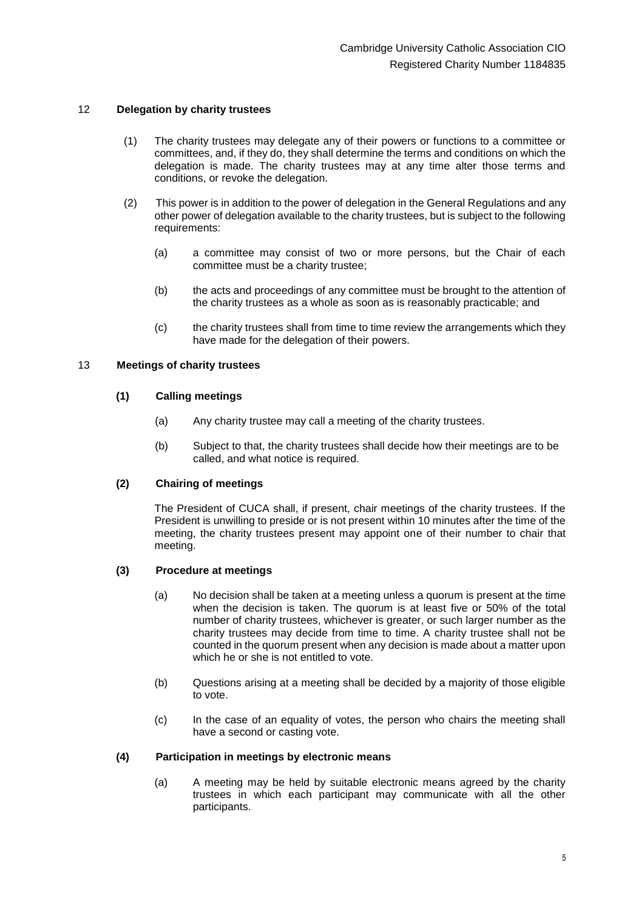## 12 **Delegation by charity trustees**

- (1) The charity trustees may delegate any of their powers or functions to a committee or committees, and, if they do, they shall determine the terms and conditions on which the delegation is made. The charity trustees may at any time alter those terms and conditions, or revoke the delegation.
- (2) This power is in addition to the power of delegation in the General Regulations and any other power of delegation available to the charity trustees, but is subject to the following requirements:
	- (a) a committee may consist of two or more persons, but the Chair of each committee must be a charity trustee;
	- (b) the acts and proceedings of any committee must be brought to the attention of the charity trustees as a whole as soon as is reasonably practicable; and
	- (c) the charity trustees shall from time to time review the arrangements which they have made for the delegation of their powers.

### 13 **Meetings of charity trustees**

### **(1) Calling meetings**

- (a) Any charity trustee may call a meeting of the charity trustees.
- (b) Subject to that, the charity trustees shall decide how their meetings are to be called, and what notice is required.

## **(2) Chairing of meetings**

The President of CUCA shall, if present, chair meetings of the charity trustees. If the President is unwilling to preside or is not present within 10 minutes after the time of the meeting, the charity trustees present may appoint one of their number to chair that meeting.

### **(3) Procedure at meetings**

- (a) No decision shall be taken at a meeting unless a quorum is present at the time when the decision is taken. The quorum is at least five or 50% of the total number of charity trustees, whichever is greater, or such larger number as the charity trustees may decide from time to time. A charity trustee shall not be counted in the quorum present when any decision is made about a matter upon which he or she is not entitled to vote.
- (b) Questions arising at a meeting shall be decided by a majority of those eligible to vote.
- (c) In the case of an equality of votes, the person who chairs the meeting shall have a second or casting vote.

### **(4) Participation in meetings by electronic means**

(a) A meeting may be held by suitable electronic means agreed by the charity trustees in which each participant may communicate with all the other participants.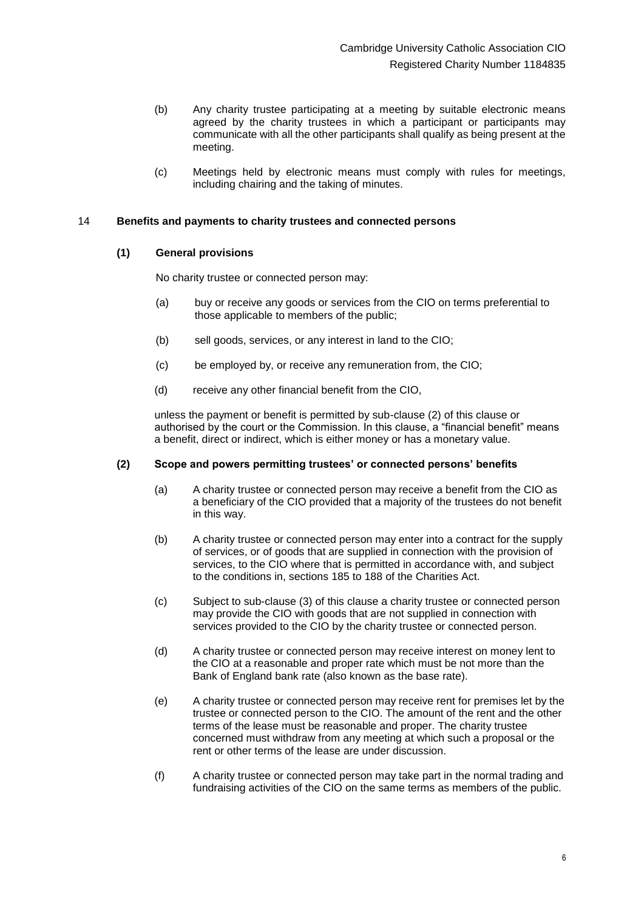- (b) Any charity trustee participating at a meeting by suitable electronic means agreed by the charity trustees in which a participant or participants may communicate with all the other participants shall qualify as being present at the meeting.
- (c) Meetings held by electronic means must comply with rules for meetings, including chairing and the taking of minutes.

### 14 **Benefits and payments to charity trustees and connected persons**

### **(1) General provisions**

No charity trustee or connected person may:

- (a) buy or receive any goods or services from the CIO on terms preferential to those applicable to members of the public;
- (b) sell goods, services, or any interest in land to the CIO;
- (c) be employed by, or receive any remuneration from, the CIO;
- (d) receive any other financial benefit from the CIO,

unless the payment or benefit is permitted by sub-clause (2) of this clause or authorised by the court or the Commission. In this clause, a "financial benefit" means a benefit, direct or indirect, which is either money or has a monetary value.

#### **(2) Scope and powers permitting trustees' or connected persons' benefits**

- (a) A charity trustee or connected person may receive a benefit from the CIO as a beneficiary of the CIO provided that a majority of the trustees do not benefit in this way.
- (b) A charity trustee or connected person may enter into a contract for the supply of services, or of goods that are supplied in connection with the provision of services, to the CIO where that is permitted in accordance with, and subject to the conditions in, sections 185 to 188 of the Charities Act.
- (c) Subject to sub-clause (3) of this clause a charity trustee or connected person may provide the CIO with goods that are not supplied in connection with services provided to the CIO by the charity trustee or connected person.
- (d) A charity trustee or connected person may receive interest on money lent to the CIO at a reasonable and proper rate which must be not more than the Bank of England bank rate (also known as the base rate).
- (e) A charity trustee or connected person may receive rent for premises let by the trustee or connected person to the CIO. The amount of the rent and the other terms of the lease must be reasonable and proper. The charity trustee concerned must withdraw from any meeting at which such a proposal or the rent or other terms of the lease are under discussion.
- (f) A charity trustee or connected person may take part in the normal trading and fundraising activities of the CIO on the same terms as members of the public.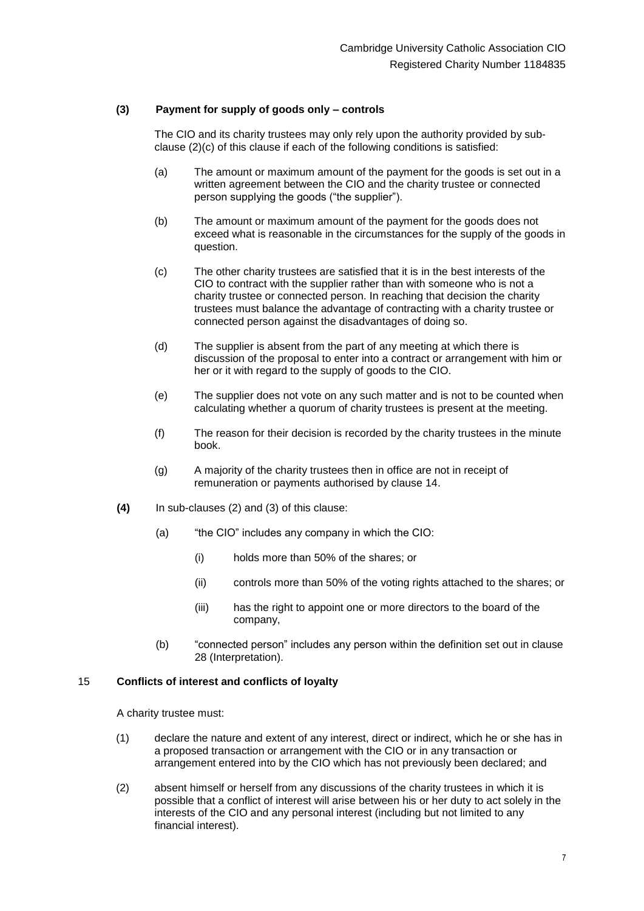## **(3) Payment for supply of goods only – controls**

The CIO and its charity trustees may only rely upon the authority provided by subclause (2)(c) of this clause if each of the following conditions is satisfied:

- (a) The amount or maximum amount of the payment for the goods is set out in a written agreement between the CIO and the charity trustee or connected person supplying the goods ("the supplier").
- (b) The amount or maximum amount of the payment for the goods does not exceed what is reasonable in the circumstances for the supply of the goods in question.
- (c) The other charity trustees are satisfied that it is in the best interests of the CIO to contract with the supplier rather than with someone who is not a charity trustee or connected person. In reaching that decision the charity trustees must balance the advantage of contracting with a charity trustee or connected person against the disadvantages of doing so.
- (d) The supplier is absent from the part of any meeting at which there is discussion of the proposal to enter into a contract or arrangement with him or her or it with regard to the supply of goods to the CIO.
- (e) The supplier does not vote on any such matter and is not to be counted when calculating whether a quorum of charity trustees is present at the meeting.
- (f) The reason for their decision is recorded by the charity trustees in the minute book.
- (g) A majority of the charity trustees then in office are not in receipt of remuneration or payments authorised by clause 14.
- **(4)** In sub-clauses (2) and (3) of this clause:
	- (a) "the CIO" includes any company in which the CIO:
		- (i) holds more than 50% of the shares; or
		- (ii) controls more than 50% of the voting rights attached to the shares; or
		- (iii) has the right to appoint one or more directors to the board of the company,
	- (b) "connected person" includes any person within the definition set out in clause 28 (Interpretation).

### 15 **Conflicts of interest and conflicts of loyalty**

A charity trustee must:

- (1) declare the nature and extent of any interest, direct or indirect, which he or she has in a proposed transaction or arrangement with the CIO or in any transaction or arrangement entered into by the CIO which has not previously been declared; and
- (2) absent himself or herself from any discussions of the charity trustees in which it is possible that a conflict of interest will arise between his or her duty to act solely in the interests of the CIO and any personal interest (including but not limited to any financial interest).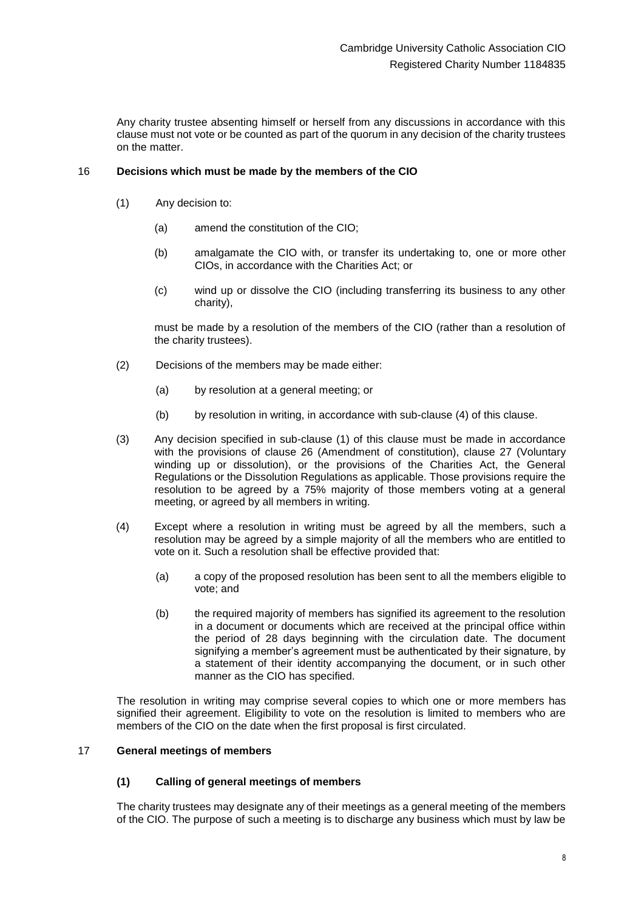Any charity trustee absenting himself or herself from any discussions in accordance with this clause must not vote or be counted as part of the quorum in any decision of the charity trustees on the matter.

### 16 **Decisions which must be made by the members of the CIO**

- (1) Any decision to:
	- (a) amend the constitution of the CIO;
	- (b) amalgamate the CIO with, or transfer its undertaking to, one or more other CIOs, in accordance with the Charities Act; or
	- (c) wind up or dissolve the CIO (including transferring its business to any other charity),

must be made by a resolution of the members of the CIO (rather than a resolution of the charity trustees).

- (2) Decisions of the members may be made either:
	- (a) by resolution at a general meeting; or
	- (b) by resolution in writing, in accordance with sub-clause (4) of this clause.
- (3) Any decision specified in sub-clause (1) of this clause must be made in accordance with the provisions of clause 26 (Amendment of constitution), clause 27 (Voluntary winding up or dissolution), or the provisions of the Charities Act, the General Regulations or the Dissolution Regulations as applicable. Those provisions require the resolution to be agreed by a 75% majority of those members voting at a general meeting, or agreed by all members in writing.
- (4) Except where a resolution in writing must be agreed by all the members, such a resolution may be agreed by a simple majority of all the members who are entitled to vote on it. Such a resolution shall be effective provided that:
	- (a) a copy of the proposed resolution has been sent to all the members eligible to vote; and
	- (b) the required majority of members has signified its agreement to the resolution in a document or documents which are received at the principal office within the period of 28 days beginning with the circulation date. The document signifying a member's agreement must be authenticated by their signature, by a statement of their identity accompanying the document, or in such other manner as the CIO has specified.

The resolution in writing may comprise several copies to which one or more members has signified their agreement. Eligibility to vote on the resolution is limited to members who are members of the CIO on the date when the first proposal is first circulated.

### 17 **General meetings of members**

## **(1) Calling of general meetings of members**

The charity trustees may designate any of their meetings as a general meeting of the members of the CIO. The purpose of such a meeting is to discharge any business which must by law be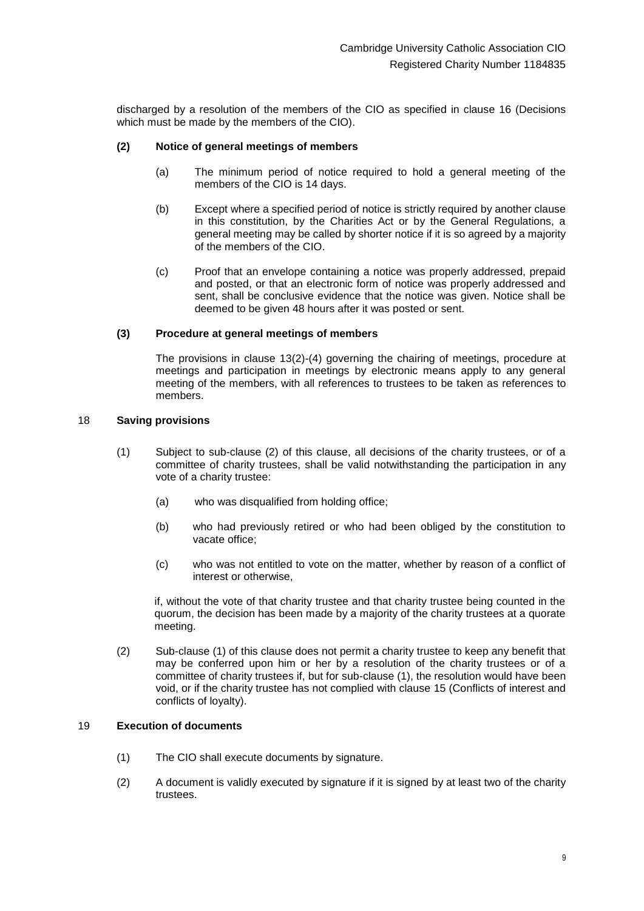discharged by a resolution of the members of the CIO as specified in clause 16 (Decisions which must be made by the members of the CIO).

## **(2) Notice of general meetings of members**

- (a) The minimum period of notice required to hold a general meeting of the members of the CIO is 14 days.
- (b) Except where a specified period of notice is strictly required by another clause in this constitution, by the Charities Act or by the General Regulations, a general meeting may be called by shorter notice if it is so agreed by a majority of the members of the CIO.
- (c) Proof that an envelope containing a notice was properly addressed, prepaid and posted, or that an electronic form of notice was properly addressed and sent, shall be conclusive evidence that the notice was given. Notice shall be deemed to be given 48 hours after it was posted or sent.

### **(3) Procedure at general meetings of members**

The provisions in clause 13(2)-(4) governing the chairing of meetings, procedure at meetings and participation in meetings by electronic means apply to any general meeting of the members, with all references to trustees to be taken as references to members.

## 18 **Saving provisions**

- (1) Subject to sub-clause (2) of this clause, all decisions of the charity trustees, or of a committee of charity trustees, shall be valid notwithstanding the participation in any vote of a charity trustee:
	- (a) who was disqualified from holding office;
	- (b) who had previously retired or who had been obliged by the constitution to vacate office;
	- (c) who was not entitled to vote on the matter, whether by reason of a conflict of interest or otherwise,

if, without the vote of that charity trustee and that charity trustee being counted in the quorum, the decision has been made by a majority of the charity trustees at a quorate meeting.

(2) Sub-clause (1) of this clause does not permit a charity trustee to keep any benefit that may be conferred upon him or her by a resolution of the charity trustees or of a committee of charity trustees if, but for sub-clause (1), the resolution would have been void, or if the charity trustee has not complied with clause 15 (Conflicts of interest and conflicts of loyalty).

### 19 **Execution of documents**

- (1) The CIO shall execute documents by signature.
- (2) A document is validly executed by signature if it is signed by at least two of the charity trustees.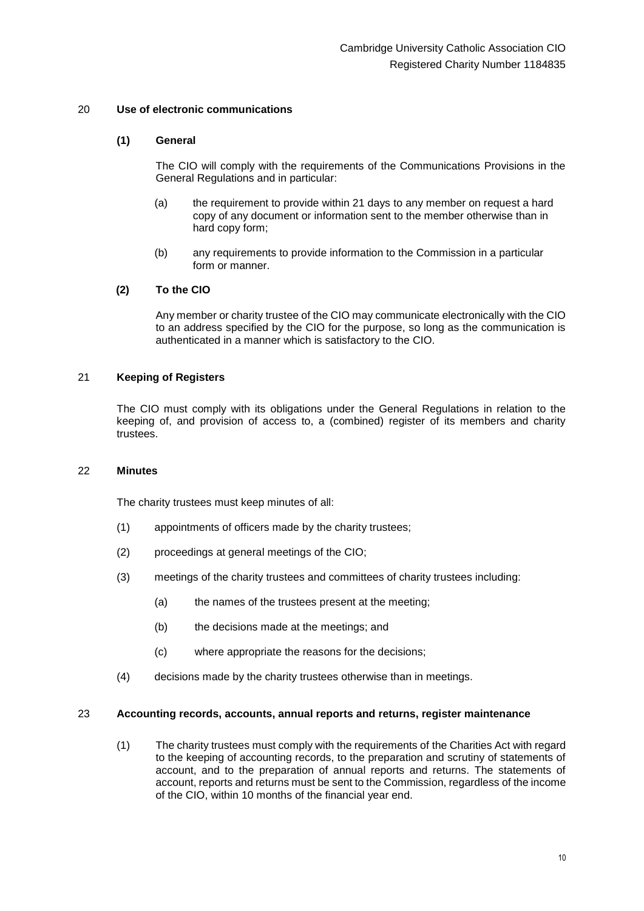### 20 **Use of electronic communications**

### **(1) General**

The CIO will comply with the requirements of the Communications Provisions in the General Regulations and in particular:

- (a) the requirement to provide within 21 days to any member on request a hard copy of any document or information sent to the member otherwise than in hard copy form;
- (b) any requirements to provide information to the Commission in a particular form or manner.

### **(2) To the CIO**

Any member or charity trustee of the CIO may communicate electronically with the CIO to an address specified by the CIO for the purpose, so long as the communication is authenticated in a manner which is satisfactory to the CIO.

### 21 **Keeping of Registers**

The CIO must comply with its obligations under the General Regulations in relation to the keeping of, and provision of access to, a (combined) register of its members and charity trustees.

### 22 **Minutes**

The charity trustees must keep minutes of all:

- (1) appointments of officers made by the charity trustees;
- (2) proceedings at general meetings of the CIO;
- (3) meetings of the charity trustees and committees of charity trustees including:
	- (a) the names of the trustees present at the meeting;
	- (b) the decisions made at the meetings; and
	- (c) where appropriate the reasons for the decisions;
- (4) decisions made by the charity trustees otherwise than in meetings.

#### 23 **Accounting records, accounts, annual reports and returns, register maintenance**

(1) The charity trustees must comply with the requirements of the Charities Act with regard to the keeping of accounting records, to the preparation and scrutiny of statements of account, and to the preparation of annual reports and returns. The statements of account, reports and returns must be sent to the Commission, regardless of the income of the CIO, within 10 months of the financial year end.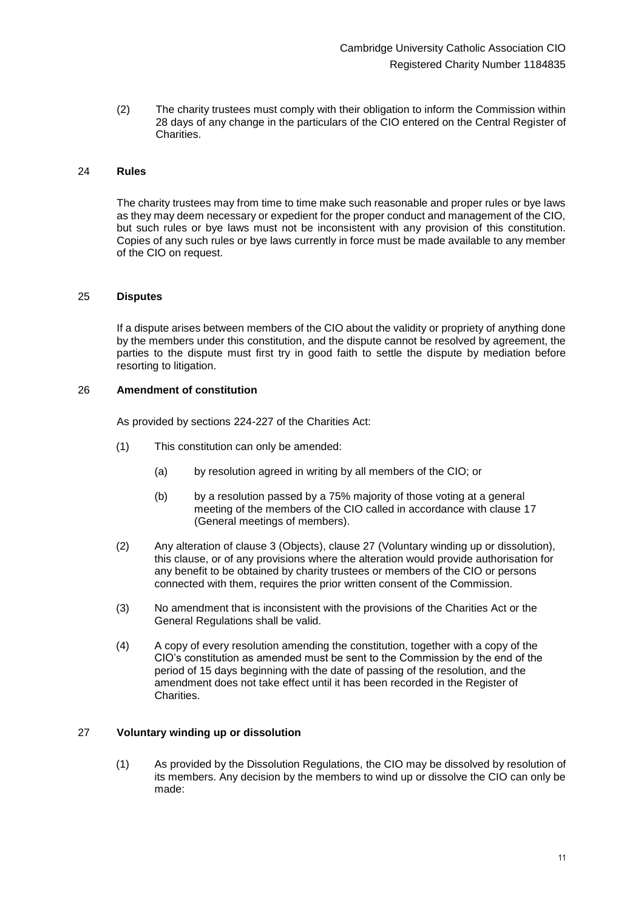(2) The charity trustees must comply with their obligation to inform the Commission within 28 days of any change in the particulars of the CIO entered on the Central Register of Charities.

### 24 **Rules**

The charity trustees may from time to time make such reasonable and proper rules or bye laws as they may deem necessary or expedient for the proper conduct and management of the CIO, but such rules or bye laws must not be inconsistent with any provision of this constitution. Copies of any such rules or bye laws currently in force must be made available to any member of the CIO on request.

### 25 **Disputes**

If a dispute arises between members of the CIO about the validity or propriety of anything done by the members under this constitution, and the dispute cannot be resolved by agreement, the parties to the dispute must first try in good faith to settle the dispute by mediation before resorting to litigation.

### 26 **Amendment of constitution**

As provided by sections 224-227 of the Charities Act:

- (1) This constitution can only be amended:
	- (a) by resolution agreed in writing by all members of the CIO; or
	- (b) by a resolution passed by a 75% majority of those voting at a general meeting of the members of the CIO called in accordance with clause 17 (General meetings of members).
- (2) Any alteration of clause 3 (Objects), clause 27 (Voluntary winding up or dissolution), this clause, or of any provisions where the alteration would provide authorisation for any benefit to be obtained by charity trustees or members of the CIO or persons connected with them, requires the prior written consent of the Commission.
- (3) No amendment that is inconsistent with the provisions of the Charities Act or the General Regulations shall be valid.
- (4) A copy of every resolution amending the constitution, together with a copy of the CIO's constitution as amended must be sent to the Commission by the end of the period of 15 days beginning with the date of passing of the resolution, and the amendment does not take effect until it has been recorded in the Register of **Charities**

## 27 **Voluntary winding up or dissolution**

(1) As provided by the Dissolution Regulations, the CIO may be dissolved by resolution of its members. Any decision by the members to wind up or dissolve the CIO can only be made: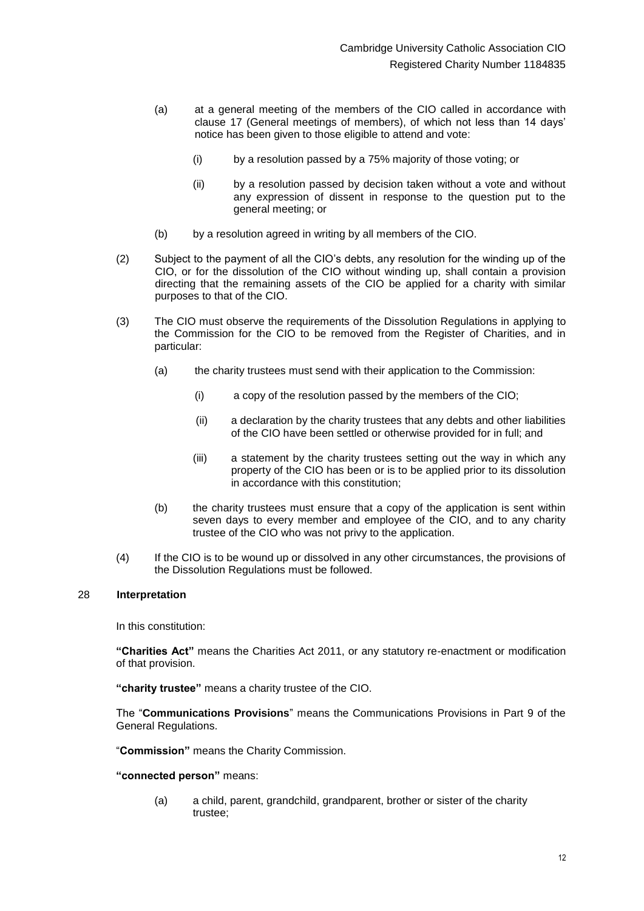- (a) at a general meeting of the members of the CIO called in accordance with clause 17 (General meetings of members), of which not less than 14 days' notice has been given to those eligible to attend and vote:
	- (i) by a resolution passed by a 75% majority of those voting; or
	- (ii) by a resolution passed by decision taken without a vote and without any expression of dissent in response to the question put to the general meeting; or
- (b) by a resolution agreed in writing by all members of the CIO.
- (2) Subject to the payment of all the CIO's debts, any resolution for the winding up of the CIO, or for the dissolution of the CIO without winding up, shall contain a provision directing that the remaining assets of the CIO be applied for a charity with similar purposes to that of the CIO.
- (3) The CIO must observe the requirements of the Dissolution Regulations in applying to the Commission for the CIO to be removed from the Register of Charities, and in particular:
	- (a) the charity trustees must send with their application to the Commission:
		- (i) a copy of the resolution passed by the members of the CIO;
		- (ii) a declaration by the charity trustees that any debts and other liabilities of the CIO have been settled or otherwise provided for in full; and
		- (iii) a statement by the charity trustees setting out the way in which any property of the CIO has been or is to be applied prior to its dissolution in accordance with this constitution;
	- (b) the charity trustees must ensure that a copy of the application is sent within seven days to every member and employee of the CIO, and to any charity trustee of the CIO who was not privy to the application.
- (4) If the CIO is to be wound up or dissolved in any other circumstances, the provisions of the Dissolution Regulations must be followed.

## 28 **Interpretation**

In this constitution:

**"Charities Act"** means the Charities Act 2011, or any statutory re-enactment or modification of that provision.

**"charity trustee"** means a charity trustee of the CIO.

The "**Communications Provisions**" means the Communications Provisions in Part 9 of the General Regulations.

"**Commission"** means the Charity Commission.

### **"connected person"** means:

(a) a child, parent, grandchild, grandparent, brother or sister of the charity trustee;